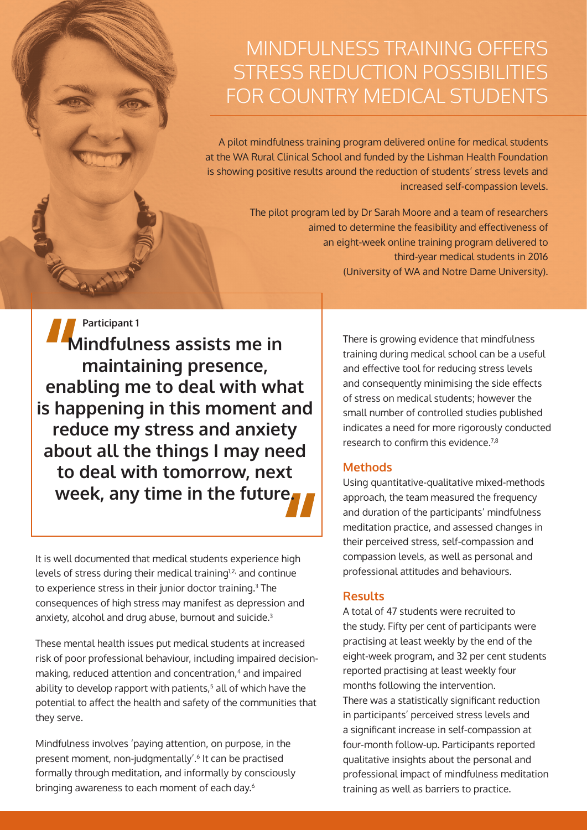# MINDFULNESS TRAINING OFFERS STRESS REDUCTION POSSIBILITIES FOR COUNTRY MEDICAL STUDENTS

A pilot mindfulness training program delivered online for medical students at the WA Rural Clinical School and funded by the Lishman Health Foundation is showing positive results around the reduction of students' stress levels and increased self-compassion levels.

> The pilot program led by Dr Sarah Moore and a team of researchers aimed to determine the feasibility and effectiveness of an eight-week online training program delivered to third-year medical students in 2016 (University of WA and Notre Dame University).

**Mindfulness assists me in maintaining presence, enabling me to deal with what is happening in this moment and reduce my stress and anxiety about all the things I may need to deal with tomorrow, next week, any time in the future. Participant 1**

It is well documented that medical students experience high levels of stress during their medical training<sup>1,2,</sup> and continue to experience stress in their junior doctor training.3 The consequences of high stress may manifest as depression and anxiety, alcohol and drug abuse, burnout and suicide.3

These mental health issues put medical students at increased risk of poor professional behaviour, including impaired decisionmaking, reduced attention and concentration,<sup>4</sup> and impaired ability to develop rapport with patients,<sup>5</sup> all of which have the potential to affect the health and safety of the communities that they serve.

Mindfulness involves 'paying attention, on purpose, in the present moment, non-judgmentally'.6 It can be practised formally through meditation, and informally by consciously bringing awareness to each moment of each day.<sup>6</sup>

There is growing evidence that mindfulness training during medical school can be a useful and effective tool for reducing stress levels and consequently minimising the side effects of stress on medical students; however the small number of controlled studies published indicates a need for more rigorously conducted research to confirm this evidence.7,8

### **Methods**

Using quantitative-qualitative mixed-methods approach, the team measured the frequency and duration of the participants' mindfulness meditation practice, and assessed changes in their perceived stress, self-compassion and compassion levels, as well as personal and professional attitudes and behaviours.

#### **Results**

A total of 47 students were recruited to the study. Fifty per cent of participants were practising at least weekly by the end of the eight-week program, and 32 per cent students reported practising at least weekly four months following the intervention. There was a statistically significant reduction in participants' perceived stress levels and a significant increase in self-compassion at four-month follow-up. Participants reported qualitative insights about the personal and professional impact of mindfulness meditation training as well as barriers to practice.